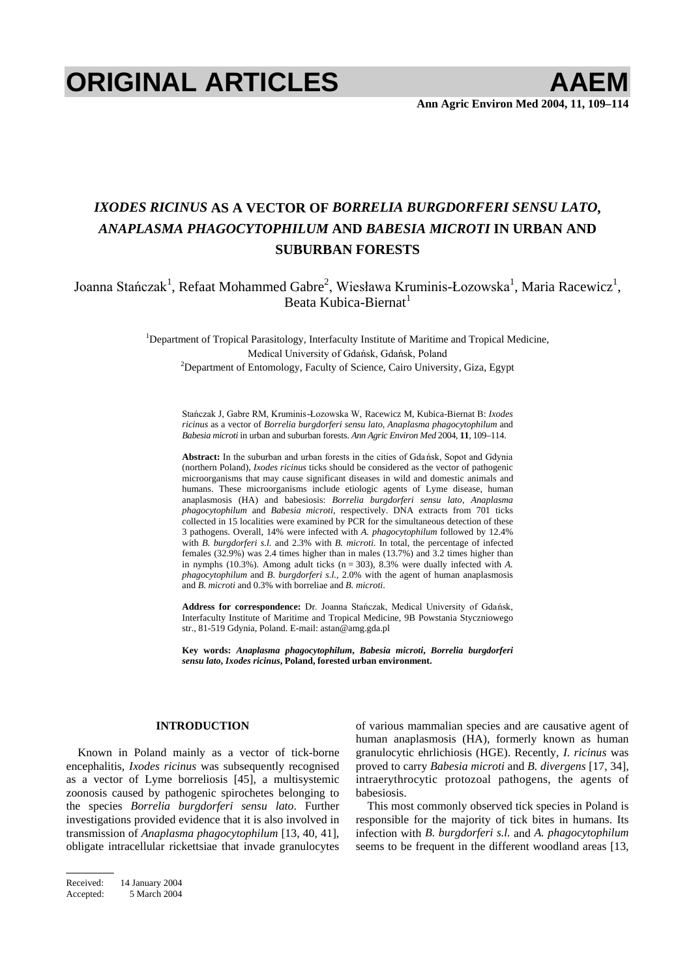# **ORIGINAL ARTICLES AAEM**

# *IXODES RICINUS* **AS A VECTOR OF** *BORRELIA BURGDORFERI SENSU LATO***,**  *ANAPLASMA PHAGOCYTOPHILUM* **AND** *BABESIA MICROTI* **IN URBAN AND SUBURBAN FORESTS**

Joanna Stańczak<sup>1</sup>, Refaat Mohammed Gabre<sup>2</sup>, Wiesława Kruminis-Łozowska<sup>1</sup>, Maria Racewicz<sup>1</sup>, Beata Kubica-Biernat<sup>1</sup>

> <sup>1</sup>Department of Tropical Parasitology, Interfaculty Institute of Maritime and Tropical Medicine, Medical University of Gdańsk, Gdańsk, Poland <sup>2</sup>Department of Entomology, Faculty of Science, Cairo University, Giza, Egypt

Stańczak J, Gabre RM, Kruminis-Łozowska W, Racewicz M, Kubica-Biernat B: *Ixodes ricinus* as a vector of *Borrelia burgdorferi sensu lato*, *Anaplasma phagocytophilum* and *Babesia microti* in urban and suburban forests. *Ann Agric Environ Med* 2004, **11**, 109–114.

**Abstract:** In the suburban and urban forests in the cities of Gdansk. Sopot and Gdynia (northern Poland), *Ixodes ricinus* ticks should be considered as the vector of pathogenic microorganisms that may cause significant diseases in wild and domestic animals and humans. These microorganisms include etiologic agents of Lyme disease, human anaplasmosis (HA) and babesiosis: *Borrelia burgdorferi sensu lato*, *Anaplasma phagocytophilum* and *Babesia microti*, respectively. DNA extracts from 701 ticks collected in 15 localities were examined by PCR for the simultaneous detection of these 3 pathogens. Overall, 14% were infected with *A. phagocytophilum* followed by 12.4% with *B. burgdorferi s.l.* and 2.3% with *B. microti*. In total, the percentage of infected females (32.9%) was 2.4 times higher than in males (13.7%) and 3.2 times higher than in nymphs (10.3%). Among adult ticks  $(n = 303)$ , 8.3% were dually infected with *A*. *phagocytophilum* and *B. burgdorferi s.l.*, 2.0% with the agent of human anaplasmosis and *B. microti* and 0.3% with borreliae and *B. microti*.

Address for correspondence: Dr. Joanna Stańczak, Medical University of Gdańsk, Interfaculty Institute of Maritime and Tropical Medicine, 9B Powstania Styczniowego str., 81-519 Gdynia, Poland. E-mail: astan@amg.gda.pl

**Key words:** *Anaplasma phagocytophilum***,** *Babesia microti***,** *Borrelia burgdorferi sensu lato***,** *Ixodes ricinus***, Poland, forested urban environment.** 

### **INTRODUCTION**

Known in Poland mainly as a vector of tick-borne encephalitis, *Ixodes ricinus* was subsequently recognised as a vector of Lyme borreliosis [45], a multisystemic zoonosis caused by pathogenic spirochetes belonging to the species *Borrelia burgdorferi sensu lato*. Further investigations provided evidence that it is also involved in transmission of *Anaplasma phagocytophilum* [13, 40, 41], obligate intracellular rickettsiae that invade granulocytes

Received: 14 January 2004 Accepted: 5 March 2004 of various mammalian species and are causative agent of human anaplasmosis (HA), formerly known as human granulocytic ehrlichiosis (HGE). Recently, *I. ricinus* was proved to carry *Babesia microti* and *B. divergens* [17, 34], intraerythrocytic protozoal pathogens, the agents of babesiosis.

This most commonly observed tick species in Poland is responsible for the majority of tick bites in humans. Its infection with *B. burgdorferi s.l.* and *A. phagocytophilum* seems to be frequent in the different woodland areas [13,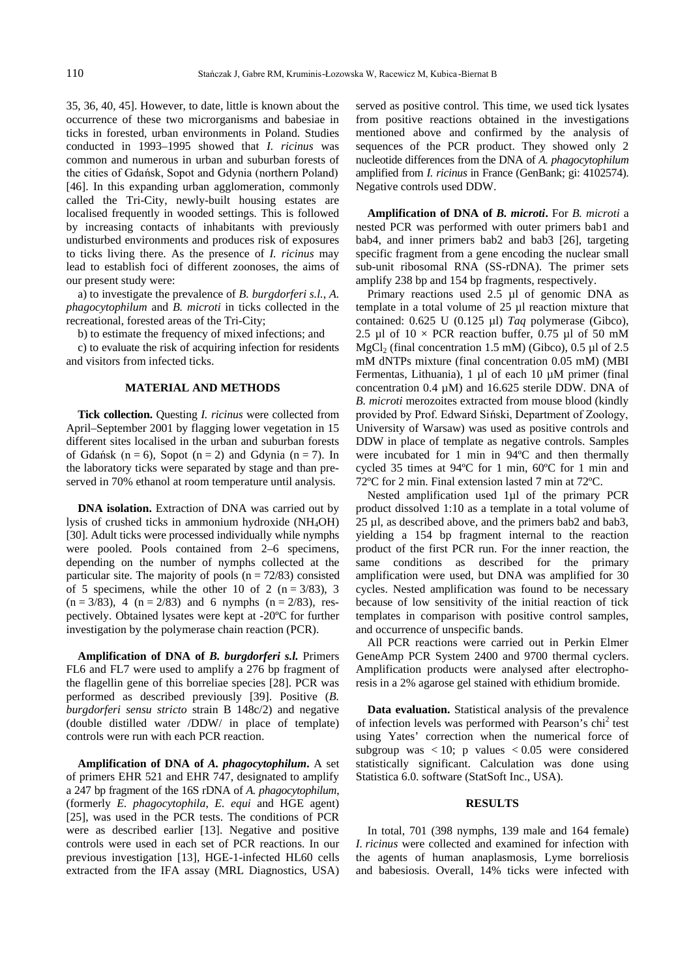35, 36, 40, 45]. However, to date, little is known about the occurrence of these two microrganisms and babesiae in ticks in forested, urban environments in Poland. Studies conducted in 1993–1995 showed that *I. ricinus* was common and numerous in urban and suburban forests of the cities of Gdańsk, Sopot and Gdynia (northern Poland) [46]. In this expanding urban agglomeration, commonly called the Tri-City, newly-built housing estates are localised frequently in wooded settings. This is followed by increasing contacts of inhabitants with previously undisturbed environments and produces risk of exposures to ticks living there. As the presence of *I. ricinus* may lead to establish foci of different zoonoses, the aims of our present study were:

a) to investigate the prevalence of *B. burgdorferi s.l.*, *A. phagocytophilum* and *B. microti* in ticks collected in the recreational, forested areas of the Tri-City;

b) to estimate the frequency of mixed infections; and

c) to evaluate the risk of acquiring infection for residents and visitors from infected ticks.

# **MATERIAL AND METHODS**

**Tick collection.** Questing *I. ricinus* were collected from April–September 2001 by flagging lower vegetation in 15 different sites localised in the urban and suburban forests of Gdańsk (n = 6), Sopot (n = 2) and Gdynia (n = 7). In the laboratory ticks were separated by stage and than preserved in 70% ethanol at room temperature until analysis.

**DNA isolation.** Extraction of DNA was carried out by lysis of crushed ticks in ammonium hydroxide (NH4OH) [30]. Adult ticks were processed individually while nymphs were pooled. Pools contained from 2–6 specimens, depending on the number of nymphs collected at the particular site. The majority of pools  $(n = 72/83)$  consisted of 5 specimens, while the other 10 of 2 ( $n = 3/83$ ), 3  $(n = 3/83)$ , 4  $(n = 2/83)$  and 6 nymphs  $(n = 2/83)$ , respectively. Obtained lysates were kept at -20ºC for further investigation by the polymerase chain reaction (PCR).

**Amplification of DNA of** *B. burgdorferi s.l.* Primers FL6 and FL7 were used to amplify a 276 bp fragment of the flagellin gene of this borreliae species [28]. PCR was performed as described previously [39]. Positive (*B. burgdorferi sensu stricto* strain B 148c/2) and negative (double distilled water /DDW/ in place of template) controls were run with each PCR reaction.

**Amplification of DNA of** *A. phagocytophilum***.** A set of primers EHR 521 and EHR 747, designated to amplify a 247 bp fragment of the 16S rDNA of *A. phagocytophilum*, (formerly *E. phagocytophila*, *E. equi* and HGE agent) [25], was used in the PCR tests. The conditions of PCR were as described earlier [13]. Negative and positive controls were used in each set of PCR reactions. In our previous investigation [13], HGE-1-infected HL60 cells extracted from the IFA assay (MRL Diagnostics, USA) served as positive control. This time, we used tick lysates from positive reactions obtained in the investigations mentioned above and confirmed by the analysis of sequences of the PCR product. They showed only 2 nucleotide differences from the DNA of *A. phagocytophilum* amplified from *I. ricinus* in France (GenBank; gi: 4102574). Negative controls used DDW.

**Amplification of DNA of** *B. microti***.** For *B. microti* a nested PCR was performed with outer primers bab1 and bab4, and inner primers bab2 and bab3 [26], targeting specific fragment from a gene encoding the nuclear small sub-unit ribosomal RNA (SS-rDNA). The primer sets amplify 238 bp and 154 bp fragments, respectively.

Primary reactions used 2.5 µl of genomic DNA as template in a total volume of 25 µl reaction mixture that contained: 0.625 U (0.125 µl) *Taq* polymerase (Gibco), 2.5 µl of  $10 \times PCR$  reaction buffer, 0.75 µl of 50 mM  $MgCl<sub>2</sub>$  (final concentration 1.5 mM) (Gibco), 0.5 µl of 2.5 mM dNTPs mixture (final concentration 0.05 mM) (MBI Fermentas, Lithuania), 1 µl of each 10 µM primer (final concentration 0.4 µM) and 16.625 sterile DDW. DNA of *B. microti* merozoites extracted from mouse blood (kindly provided by Prof. Edward Siński, Department of Zoology, University of Warsaw) was used as positive controls and DDW in place of template as negative controls. Samples were incubated for 1 min in 94ºC and then thermally cycled 35 times at 94ºC for 1 min, 60ºC for 1 min and 72ºC for 2 min. Final extension lasted 7 min at 72ºC.

Nested amplification used 1µl of the primary PCR product dissolved 1:10 as a template in a total volume of 25 µl, as described above, and the primers bab2 and bab3, yielding a 154 bp fragment internal to the reaction product of the first PCR run. For the inner reaction, the same conditions as described for the primary amplification were used, but DNA was amplified for 30 cycles. Nested amplification was found to be necessary because of low sensitivity of the initial reaction of tick templates in comparison with positive control samples, and occurrence of unspecific bands.

All PCR reactions were carried out in Perkin Elmer GeneAmp PCR System 2400 and 9700 thermal cyclers. Amplification products were analysed after electrophoresis in a 2% agarose gel stained with ethidium bromide.

**Data evaluation.** Statistical analysis of the prevalence of infection levels was performed with Pearson's chi<sup>2</sup> test using Yates' correction when the numerical force of subgroup was  $< 10$ ; p values  $< 0.05$  were considered statistically significant. Calculation was done using Statistica 6.0. software (StatSoft Inc., USA).

# **RESULTS**

In total, 701 (398 nymphs, 139 male and 164 female) *I. ricinus* were collected and examined for infection with the agents of human anaplasmosis, Lyme borreliosis and babesiosis. Overall, 14% ticks were infected with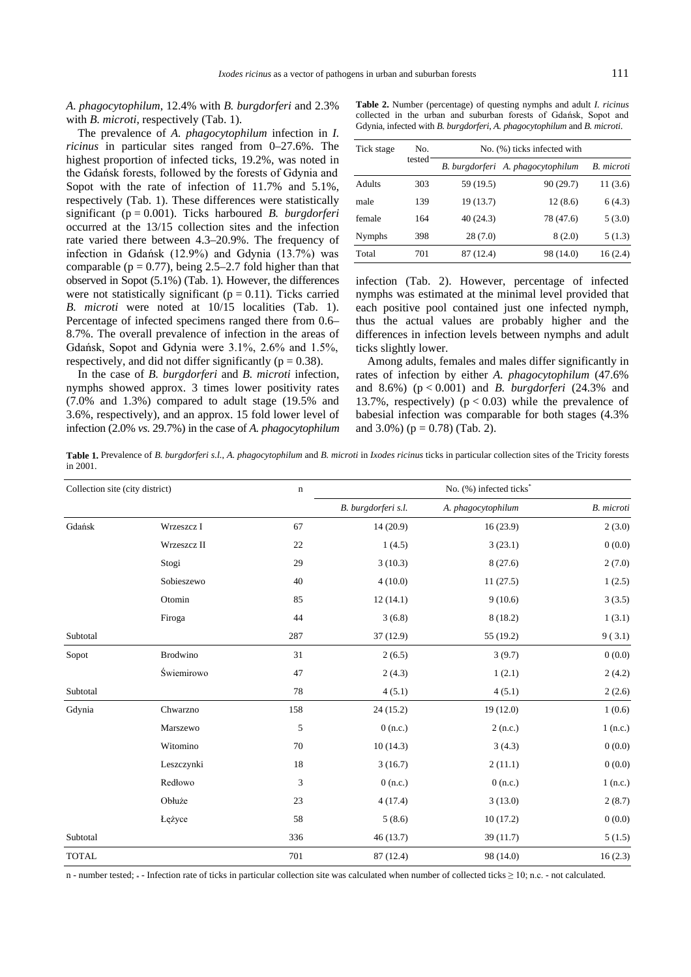## *A. phagocytophilum*, 12.4% with *B. burgdorferi* and 2.3% with *B. microti*, respectively (Tab. 1).

The prevalence of *A. phagocytophilum* infection in *I. ricinus* in particular sites ranged from 0–27.6%. The highest proportion of infected ticks, 19.2%, was noted in the Gdańsk forests, followed by the forests of Gdynia and Sopot with the rate of infection of 11.7% and 5.1%, respectively (Tab. 1). These differences were statistically significant (p = 0.001). Ticks harboured *B. burgdorferi* occurred at the 13/15 collection sites and the infection rate varied there between 4.3–20.9%. The frequency of infection in Gdańsk  $(12.9\%)$  and Gdynia  $(13.7\%)$  was comparable ( $p = 0.77$ ), being 2.5–2.7 fold higher than that observed in Sopot (5.1%) (Tab. 1). However, the differences were not statistically significant ( $p = 0.11$ ). Ticks carried *B. microti* were noted at 10/15 localities (Tab. 1). Percentage of infected specimens ranged there from 0.6– 8.7%. The overall prevalence of infection in the areas of Gdańsk, Sopot and Gdynia were  $3.1\%$ ,  $2.6\%$  and  $1.5\%$ , respectively, and did not differ significantly ( $p = 0.38$ ).

In the case of *B. burgdorferi* and *B. microti* infection, nymphs showed approx. 3 times lower positivity rates (7.0% and 1.3%) compared to adult stage (19.5% and 3.6%, respectively), and an approx. 15 fold lower level of infection (2.0% *vs.* 29.7%) in the case of *A. phagocytophilum*

**Table 2.** Number (percentage) of questing nymphs and adult *I. ricinus* collected in the urban and suburban forests of Gdańsk. Sopot and Gdynia, infected with *B. burgdorferi*, *A. phagocytophilum* and *B. microti*.

| Tick stage    | No.<br>tested | No. (%) ticks infected with |                                   |            |  |
|---------------|---------------|-----------------------------|-----------------------------------|------------|--|
|               |               |                             | B. burgdorferi A. phagocytophilum | B. microti |  |
| Adults        | 303           | 59 (19.5)                   | 90(29.7)                          | 11(3.6)    |  |
| male          | 139           | 19 (13.7)                   | 12(8.6)                           | 6(4.3)     |  |
| female        | 164           | 40 (24.3)                   | 78 (47.6)                         | 5(3.0)     |  |
| <b>Nymphs</b> | 398           | 28(7.0)                     | 8(2.0)                            | 5(1.3)     |  |
| Total         | 701           | 87 (12.4)                   | 98 (14.0)                         | 16(2.4)    |  |

infection (Tab. 2). However, percentage of infected nymphs was estimated at the minimal level provided that each positive pool contained just one infected nymph, thus the actual values are probably higher and the differences in infection levels between nymphs and adult ticks slightly lower.

Among adults, females and males differ significantly in rates of infection by either *A. phagocytophilum* (47.6% and 8.6%) (p < 0.001) and *B. burgdorferi* (24.3% and 13.7%, respectively)  $(p < 0.03)$  while the prevalence of babesial infection was comparable for both stages (4.3% and  $3.0\%$ ) ( $p = 0.78$ ) (Tab. 2).

**Table 1.** Prevalence of *B. burgdorferi s.l.*, *A. phagocytophilum* and *B. microti* in *Ixodes ricinus* ticks in particular collection sites of the Tricity forests in 2001.

| Collection site (city district) |                 | $\mathbf n$ | No. (%) infected ticks <sup>*</sup> |                    |            |  |
|---------------------------------|-----------------|-------------|-------------------------------------|--------------------|------------|--|
|                                 |                 |             | B. burgdorferi s.l.                 | A. phagocytophilum | B. microti |  |
| Gdańsk                          | Wrzeszcz I      | 67          | 14(20.9)                            | 16(23.9)           | 2(3.0)     |  |
|                                 | Wrzeszcz II     | 22          | 1(4.5)                              | 3(23.1)            | 0(0.0)     |  |
|                                 | Stogi           | 29          | 3(10.3)                             | 8(27.6)            | 2(7.0)     |  |
|                                 | Sobieszewo      | 40          | 4(10.0)                             | 11(27.5)           | 1(2.5)     |  |
|                                 | Otomin          | 85          | 12(14.1)                            | 9(10.6)            | 3(3.5)     |  |
|                                 | Firoga          | 44          | 3(6.8)                              | 8(18.2)            | 1(3.1)     |  |
| Subtotal                        |                 | 287         | 37(12.9)                            | 55 (19.2)          | 9(3.1)     |  |
| Sopot                           | <b>Brodwino</b> | 31          | 2(6.5)                              | 3(9.7)             | 0(0.0)     |  |
|                                 | Świemirowo      | 47          | 2(4.3)                              | 1(2.1)             | 2(4.2)     |  |
| Subtotal                        |                 | 78          | 4(5.1)                              | 4(5.1)             | 2(2.6)     |  |
| Gdynia                          | Chwarzno        | 158         | 24(15.2)                            | 19 (12.0)          | 1(0.6)     |  |
|                                 | Marszewo        | 5           | 0(n.c.)                             | 2(n.c.)            | $1$ (n.c.) |  |
|                                 | Witomino        | 70          | 10(14.3)                            | 3(4.3)             | 0(0.0)     |  |
|                                 | Leszczynki      | 18          | 3(16.7)                             | 2(11.1)            | 0(0.0)     |  |
|                                 | Redłowo         | 3           | 0(n.c.)                             | 0(n.c.)            | $1$ (n.c.) |  |
|                                 | Obłuże          | 23          | 4(17.4)                             | 3(13.0)            | 2(8.7)     |  |
|                                 | Łężyce          | 58          | 5(8.6)                              | 10(17.2)           | 0(0.0)     |  |
| Subtotal                        |                 | 336         | 46(13.7)                            | 39(11.7)           | 5(1.5)     |  |
| <b>TOTAL</b>                    |                 | 701         | 87 (12.4)                           | 98 (14.0)          | 16(2.3)    |  |

n - number tested;  $\ast$  - Infection rate of ticks in particular collection site was calculated when number of collected ticks  $\geq$  10; n.c. - not calculated.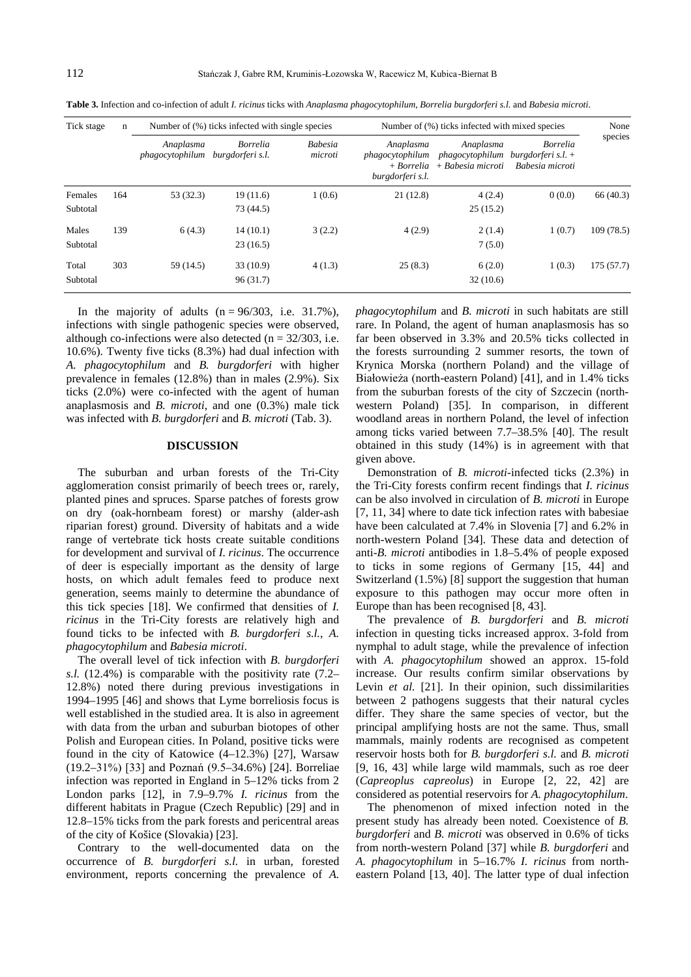| Tick stage<br>n     |     | Number of (%) ticks infected with single species |                                     |                           | Number of (%) ticks infected with mixed species                |                                                                           |                                    | None      |
|---------------------|-----|--------------------------------------------------|-------------------------------------|---------------------------|----------------------------------------------------------------|---------------------------------------------------------------------------|------------------------------------|-----------|
|                     |     | Anaplasma<br>phagocytophilum                     | <i>Borrelia</i><br>burgdorferi s.l. | <b>Babesia</b><br>microti | Anaplasma<br>phagocytophilum<br>+ Borrelia<br>burgdorferi s.l. | Anaplasma<br>$phagocytophillum$ burgdorferi s.l. +<br>$+$ Babesia microti | <b>Borrelia</b><br>Babesia microti | species   |
| Females<br>Subtotal | 164 | 53(32.3)                                         | 19(11.6)<br>73 (44.5)               | 1(0.6)                    | 21(12.8)                                                       | 4(2.4)<br>25(15.2)                                                        | 0(0.0)                             | 66 (40.3) |
| Males<br>Subtotal   | 139 | 6(4.3)                                           | 14(10.1)<br>23(16.5)                | 3(2.2)                    | 4(2.9)                                                         | 2(1.4)<br>7(5.0)                                                          | 1(0.7)                             | 109(78.5) |
| Total<br>Subtotal   | 303 | 59 (14.5)                                        | 33(10.9)<br>96(31.7)                | 4(1.3)                    | 25(8.3)                                                        | 6(2.0)<br>32(10.6)                                                        | 1(0.3)                             | 175(57.7) |

**Table 3.** Infection and co-infection of adult *I. ricinus* ticks with *Anaplasma phagocytophilum*, *Borrelia burgdorferi s.l.* and *Babesia microti*.

In the majority of adults  $(n = 96/303, i.e. 31.7\%)$ , infections with single pathogenic species were observed, although co-infections were also detected ( $n = 32/303$ , i.e. 10.6%). Twenty five ticks (8.3%) had dual infection with *A. phagocytophilum* and *B. burgdorferi* with higher prevalence in females (12.8%) than in males (2.9%). Six ticks (2.0%) were co-infected with the agent of human anaplasmosis and *B. microti*, and one (0.3%) male tick was infected with *B. burgdorferi* and *B. microti* (Tab. 3).

#### **DISCUSSION**

The suburban and urban forests of the Tri-City agglomeration consist primarily of beech trees or, rarely, planted pines and spruces. Sparse patches of forests grow on dry (oak-hornbeam forest) or marshy (alder-ash riparian forest) ground. Diversity of habitats and a wide range of vertebrate tick hosts create suitable conditions for development and survival of *I. ricinus*. The occurrence of deer is especially important as the density of large hosts, on which adult females feed to produce next generation, seems mainly to determine the abundance of this tick species [18]. We confirmed that densities of *I. ricinus* in the Tri-City forests are relatively high and found ticks to be infected with *B. burgdorferi s.l.*, *A. phagocytophilum* and *Babesia microti*.

The overall level of tick infection with *B. burgdorferi s.l.* (12.4%) is comparable with the positivity rate (7.2– 12.8%) noted there during previous investigations in 1994–1995 [46] and shows that Lyme borreliosis focus is well established in the studied area. It is also in agreement with data from the urban and suburban biotopes of other Polish and European cities. In Poland, positive ticks were found in the city of Katowice (4–12.3%) [27], Warsaw  $(19.2-31\%)$  [33] and Poznań  $(9.5-34.6\%)$  [24]. Borreliae infection was reported in England in 5–12% ticks from 2 London parks [12], in 7.9–9.7% *I. ricinus* from the different habitats in Prague (Czech Republic) [29] and in 12.8–15% ticks from the park forests and pericentral areas of the city of Košice (Slovakia) [23].

Contrary to the well-documented data on the occurrence of *B. burgdorferi s.l.* in urban, forested environment, reports concerning the prevalence of *A.* 

*phagocytophilum* and *B. microti* in such habitats are still rare. In Poland, the agent of human anaplasmosis has so far been observed in 3.3% and 20.5% ticks collected in the forests surrounding 2 summer resorts, the town of Krynica Morska (northern Poland) and the village of Białowieża (north-eastern Poland) [41], and in 1.4% ticks from the suburban forests of the city of Szczecin (northwestern Poland) [35]. In comparison, in different woodland areas in northern Poland, the level of infection among ticks varied between 7.7–38.5% [40]. The result obtained in this study (14%) is in agreement with that given above.

Demonstration of *B. microti*-infected ticks (2.3%) in the Tri-City forests confirm recent findings that *I. ricinus*  can be also involved in circulation of *B. microti* in Europe [7, 11, 34] where to date tick infection rates with babesiae have been calculated at 7.4% in Slovenia [7] and 6.2% in north-western Poland [34]. These data and detection of anti-*B. microti* antibodies in 1.8–5.4% of people exposed to ticks in some regions of Germany [15, 44] and Switzerland (1.5%) [8] support the suggestion that human exposure to this pathogen may occur more often in Europe than has been recognised [8, 43].

The prevalence of *B. burgdorferi* and *B. microti* infection in questing ticks increased approx. 3-fold from nymphal to adult stage, while the prevalence of infection with *A. phagocytophilum* showed an approx. 15-fold increase. Our results confirm similar observations by Levin *et al.* [21]. In their opinion, such dissimilarities between 2 pathogens suggests that their natural cycles differ. They share the same species of vector, but the principal amplifying hosts are not the same. Thus, small mammals, mainly rodents are recognised as competent reservoir hosts both for *B. burgdorferi s.l.* and *B. microti* [9, 16, 43] while large wild mammals, such as roe deer (*Capreoplus capreolus*) in Europe [2, 22, 42] are considered as potential reservoirs for *A. phagocytophilum*.

The phenomenon of mixed infection noted in the present study has already been noted. Coexistence of *B. burgdorferi* and *B. microti* was observed in 0.6% of ticks from north-western Poland [37] while *B. burgdorferi* and *A. phagocytophilum* in 5–16.7% *I. ricinus* from northeastern Poland [13, 40]. The latter type of dual infection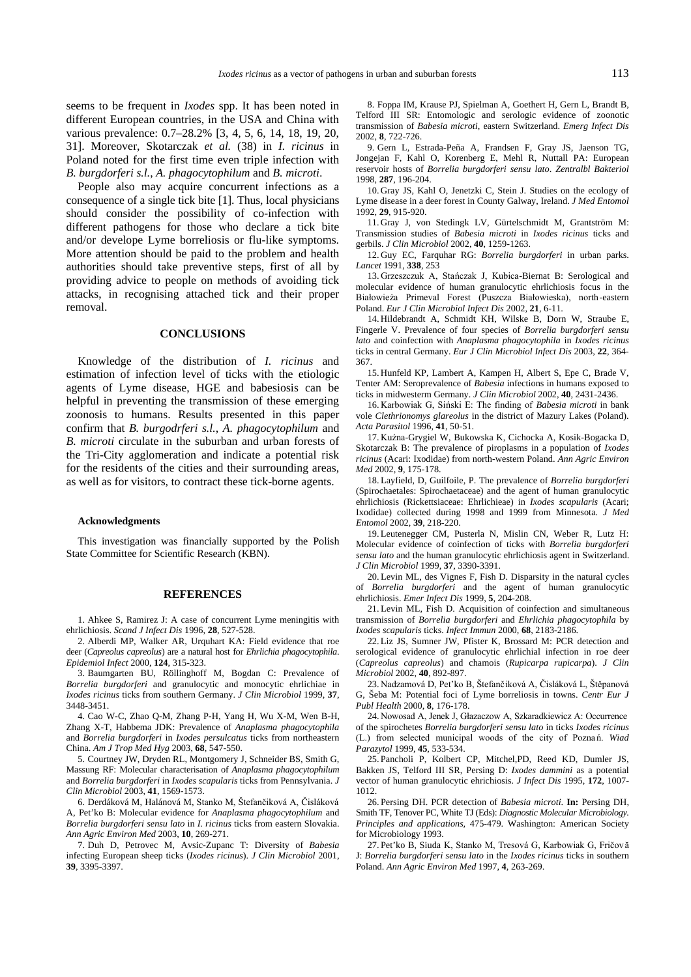seems to be frequent in *Ixodes* spp. It has been noted in different European countries, in the USA and China with various prevalence: 0.7–28.2% [3, 4, 5, 6, 14, 18, 19, 20, 31]. Moreover, Skotarczak *et al.* (38) in *I. ricinus* in Poland noted for the first time even triple infection with *B. burgdorferi s.l.*, *A. phagocytophilum* and *B. microti*.

People also may acquire concurrent infections as a consequence of a single tick bite [1]. Thus, local physicians should consider the possibility of co-infection with different pathogens for those who declare a tick bite and/or develope Lyme borreliosis or flu-like symptoms. More attention should be paid to the problem and health authorities should take preventive steps, first of all by providing advice to people on methods of avoiding tick attacks, in recognising attached tick and their proper removal.

#### **CONCLUSIONS**

Knowledge of the distribution of *I. ricinus* and estimation of infection level of ticks with the etiologic agents of Lyme disease, HGE and babesiosis can be helpful in preventing the transmission of these emerging zoonosis to humans. Results presented in this paper confirm that *B. burgodrferi s.l.*, *A. phagocytophilum* and *B. microti* circulate in the suburban and urban forests of the Tri-City agglomeration and indicate a potential risk for the residents of the cities and their surrounding areas, as well as for visitors, to contract these tick-borne agents.

#### **Acknowledgments**

This investigation was financially supported by the Polish State Committee for Scientific Research (KBN).

#### **REFERENCES**

1. Ahkee S, Ramirez J: A case of concurrent Lyme meningitis with ehrlichiosis. *Scand J Infect Dis* 1996, **28**, 527-528.

2. Alberdi MP, Walker AR, Urquhart KA: Field evidence that roe deer (*Capreolus capreolus*) are a natural host for *Ehrlichia phagocytophila*. *Epidemiol Infect* 2000, **124**, 315-323.

3. Baumgarten BU, Röllinghoff M, Bogdan C: Prevalence of *Borrelia burgdorferi* and granulocytic and monocytic ehrlichiae in *Ixodes ricinus* ticks from southern Germany. *J Clin Microbiol* 1999, **37**, 3448-3451.

4. Cao W-C, Zhao Q-M, Zhang P-H, Yang H, Wu X-M, Wen B-H, Zhang X-T, Habbema JDK: Prevalence of *Anaplasma phagocytophila* and *Borrelia burgdorferi* in *Ixodes persulcatus* ticks from northeastern China. *Am J Trop Med Hyg* 2003, **68**, 547-550.

5. Courtney JW, Dryden RL, Montgomery J, Schneider BS, Smith G, Massung RF: Molecular characterisation of *Anaplasma phagocytophilum* and *Borrelia burgdorferi* in *Ixodes scapularis* ticks from Pennsylvania. *J Clin Microbiol* 2003, **41**, 1569-1573.

6. Derdáková M, Halánová M, Stanko M, Štefančiková A, Čisláková A, Pet'ko B: Molecular evidence for *Anaplasma phagocytophilum* and *Borrelia burgdorferi sensu lato* in *I. ricinus* ticks from eastern Slovakia. *Ann Agric Environ Med* 2003, **10**, 269-271.

7. Duh D, Petrovec M, Avsic-Zupanc T: Diversity of *Babesia* infecting European sheep ticks (*Ixodes ricinus*). *J Clin Microbiol* 2001, **39**, 3395-3397.

8. Foppa IM, Krause PJ, Spielman A, Goethert H, Gern L, Brandt B, Telford III SR: Entomologic and serologic evidence of zoonotic transmission of *Babesia microti*, eastern Switzerland. *Emerg Infect Dis* 2002, **8**, 722-726.

9. Gern L, Estrada-Peña A, Frandsen F, Gray JS, Jaenson TG, Jongejan F, Kahl O, Korenberg E, Mehl R, Nuttall PA: European reservoir hosts of *Borrelia burgdorferi sensu lato*. *Zentralbl Bakteriol* 1998, **287**, 196-204.

10. Gray JS, Kahl O, Jenetzki C, Stein J. Studies on the ecology of Lyme disease in a deer forest in County Galway, Ireland. *J Med Entomol* 1992, **29**, 915-920.

11. Gray J, von Stedingk LV, Gürtelschmidt M, Grantström M: Transmission studies of *Babesia microti* in *Ixodes ricinus* ticks and gerbils. *J Clin Microbiol* 2002, **40**, 1259-1263.

12. Guy EC, Farquhar RG: *Borrelia burgdorferi* in urban parks. *Lancet* 1991, **338**, 253

13. Grzeszczuk A, Stańczak J, Kubica-Biernat B: Serological and molecular evidence of human granulocytic ehrlichiosis focus in the Białowieża Primeval Forest (Puszcza Białowieska), north-eastern Poland. *Eur J Clin Microbiol Infect Dis* 2002, **21**, 6-11.

14. Hildebrandt A, Schmidt KH, Wilske B, Dorn W, Straube E, Fingerle V. Prevalence of four species of *Borrelia burgdorferi sensu lato* and coinfection with *Anaplasma phagocytophila* in *Ixodes ricinus* ticks in central Germany. *Eur J Clin Microbiol Infect Dis* 2003, **22**, 364- 367.

15. Hunfeld KP, Lambert A, Kampen H, Albert S, Epe C, Brade V, Tenter AM: Seroprevalence of *Babesia* infections in humans exposed to ticks in midwesterm Germany. *J Clin Microbiol* 2002, **40**, 2431-2436.

16. Karbowiak G, Siński E: The finding of Babesia microti in bank vole *Clethrionomys glareolus* in the district of Mazury Lakes (Poland). *Acta Parasitol* 1996, **41**, 50-51.

17. Kuźna-Grygiel W, Bukowska K, Cichocka A, Kosik-Bogacka D, Skotarczak B: The prevalence of piroplasms in a population of *Ixodes ricinus* (Acari: Ixodidae) from north-western Poland. *Ann Agric Environ Med* 2002, **9**, 175-178.

18. Layfield, D, Guilfoile, P. The prevalence of *Borrelia burgdorferi* (Spirochaetales: Spirochaetaceae) and the agent of human granulocytic ehrlichiosis (Rickettsiaceae: Ehrlichieae) in *Ixodes scapularis* (Acari; Ixodidae) collected during 1998 and 1999 from Minnesota. *J Med Entomol* 2002, **39**, 218-220.

19. Leutenegger CM, Pusterla N, Mislin CN, Weber R, Lutz H: Molecular evidence of coinfection of ticks with *Borrelia burgdorferi sensu lato* and the human granulocytic ehrlichiosis agent in Switzerland. *J Clin Microbiol* 1999, **37**, 3390-3391.

20. Levin ML, des Vignes F, Fish D. Disparsity in the natural cycles of *Borrelia burgdorferi* and the agent of human granulocytic ehrlichiosis. *Emer Infect Dis* 1999, **5**, 204-208.

21. Levin ML, Fish D. Acquisition of coinfection and simultaneous transmission of *Borrelia burgdorferi* and *Ehrlichia phagocytophila* by *Ixodes scapularis* ticks. *Infect Immun* 2000, **68**, 2183-2186.

22. Liz JS, Sumner JW, Pfister K, Brossard M: PCR detection and serological evidence of granulocytic ehrlichial infection in roe deer (*Capreolus capreolus*) and chamois (*Rupicarpa rupicarpa*). *J Clin Microbiol* 2002, **40**, 892-897.

23. Nadzamová D, Pet'ko B, Štefančiková A, Čisláková L, Štěpanová G, Šeba M: Potential foci of Lyme borreliosis in towns. *Centr Eur J Publ Health* 2000, **8**, 176-178.

24. Nowosad A, Jenek J, Głazaczow A, Szkaradkiewicz A: Occurrence of the spirochetes *Borrelia burgdorferi sensu lato* in ticks *Ixodes ricinus* (L.) from selected municipal woods of the city of Poznań. Wiad *Parazytol* 1999, **45**, 533-534.

25. Pancholi P, Kolbert CP, Mitchel,PD, Reed KD, Dumler JS, Bakken JS, Telford III SR, Persing D: *Ixodes dammini* as a potential vector of human granulocytic ehrichiosis. *J Infect Dis* 1995, **172**, 1007- 1012.

26. Persing DH. PCR detection of *Babesia microti*. **In:** Persing DH, Smith TF, Tenover PC, White TJ (Eds): *Diagnostic Molecular Microbiology. Principles and applications*, 475-479. Washington: American Society for Microbiology 1993.

27. Pet'ko B, Siuda K, Stanko M, Tresová G, Karbowiak G, Fričovă J: *Borrelia burgdorferi sensu lato* in the *Ixodes ricinus* ticks in southern Poland. *Ann Agric Environ Med* 1997, **4**, 263-269.